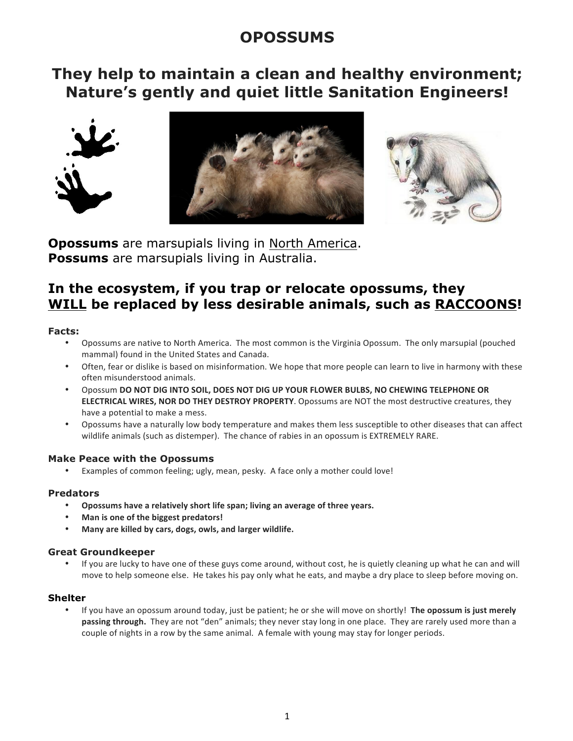# **OPOSSUMS**

## **They help to maintain a clean and healthy environment; Nature's gently and quiet little Sanitation Engineers!**







**Opossums** are marsupials living in North America. **Possums** are marsupials living in Australia.

## **In the ecosystem, if you trap or relocate opossums, they WILL be replaced by less desirable animals, such as RACCOONS!**

## **Facts:**

- Opossums are native to North America. The most common is the Virginia Opossum. The only marsupial (pouched mammal) found in the United States and Canada.
- Often, fear or dislike is based on misinformation. We hope that more people can learn to live in harmony with these often misunderstood animals.
- Opossum DO NOT DIG INTO SOIL, DOES NOT DIG UP YOUR FLOWER BULBS, NO CHEWING TELEPHONE OR **ELECTRICAL WIRES, NOR DO THEY DESTROY PROPERTY**. Opossums are NOT the most destructive creatures, they have a potential to make a mess.
- Opossums have a naturally low body temperature and makes them less susceptible to other diseases that can affect wildlife animals (such as distemper). The chance of rabies in an opossum is EXTREMELY RARE.

## **Make Peace with the Opossums**

• Examples of common feeling; ugly, mean, pesky. A face only a mother could love!

## **Predators**

- Opossums have a relatively short life span; living an average of three years.
- Man is one of the biggest predators!
- **Many are killed by cars, dogs, owls, and larger wildlife.**

## **Great Groundkeeper**

If you are lucky to have one of these guys come around, without cost, he is quietly cleaning up what he can and will move to help someone else. He takes his pay only what he eats, and maybe a dry place to sleep before moving on.

## **Shelter**

If you have an opossum around today, just be patient; he or she will move on shortly! The opossum is just merely passing through. They are not "den" animals; they never stay long in one place. They are rarely used more than a couple of nights in a row by the same animal. A female with young may stay for longer periods.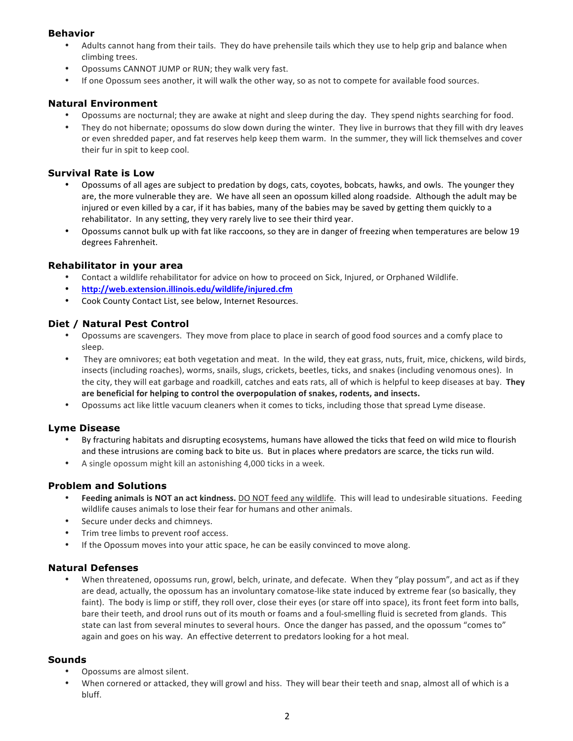## **Behavior**

- Adults cannot hang from their tails. They do have prehensile tails which they use to help grip and balance when climbing trees.
- Opossums CANNOT JUMP or RUN; they walk very fast.
- If one Opossum sees another, it will walk the other way, so as not to compete for available food sources.

## **Natural Environment**

- Opossums are nocturnal; they are awake at night and sleep during the day. They spend nights searching for food.
- They do not hibernate; opossums do slow down during the winter. They live in burrows that they fill with dry leaves or even shredded paper, and fat reserves help keep them warm. In the summer, they will lick themselves and cover their fur in spit to keep cool.

#### **Survival Rate is Low**

- Opossums of all ages are subject to predation by dogs, cats, coyotes, bobcats, hawks, and owls. The younger they are, the more vulnerable they are. We have all seen an opossum killed along roadside. Although the adult may be injured or even killed by a car, if it has babies, many of the babies may be saved by getting them quickly to a rehabilitator. In any setting, they very rarely live to see their third year.
- Opossums cannot bulk up with fat like raccoons, so they are in danger of freezing when temperatures are below 19 degrees Fahrenheit.

#### **Rehabilitator in your area**

- Contact a wildlife rehabilitator for advice on how to proceed on Sick, Injured, or Orphaned Wildlife.
- **http://web.extension.illinois.edu/wildlife/injured.cfm**
- Cook County Contact List, see below, Internet Resources.

## **Diet / Natural Pest Control**

- Opossums are scavengers. They move from place to place in search of good food sources and a comfy place to sleep.
- They are omnivores; eat both vegetation and meat. In the wild, they eat grass, nuts, fruit, mice, chickens, wild birds, insects (including roaches), worms, snails, slugs, crickets, beetles, ticks, and snakes (including venomous ones). In the city, they will eat garbage and roadkill, catches and eats rats, all of which is helpful to keep diseases at bay. They are beneficial for helping to control the overpopulation of snakes, rodents, and insects.
- Opossums act like little vacuum cleaners when it comes to ticks, including those that spread Lyme disease.

## **Lyme Disease**

- By fracturing habitats and disrupting ecosystems, humans have allowed the ticks that feed on wild mice to flourish and these intrusions are coming back to bite us. But in places where predators are scarce, the ticks run wild.
- A single opossum might kill an astonishing 4,000 ticks in a week.

## **Problem and Solutions**

- Feeding animals is NOT an act kindness. DO NOT feed any wildlife. This will lead to undesirable situations. Feeding wildlife causes animals to lose their fear for humans and other animals.
- Secure under decks and chimneys.
- Trim tree limbs to prevent roof access.
- If the Opossum moves into your attic space, he can be easily convinced to move along.

## **Natural Defenses**

When threatened, opossums run, growl, belch, urinate, and defecate. When they "play possum", and act as if they are dead, actually, the opossum has an involuntary comatose-like state induced by extreme fear (so basically, they faint). The body is limp or stiff, they roll over, close their eyes (or stare off into space), its front feet form into balls, bare their teeth, and drool runs out of its mouth or foams and a foul-smelling fluid is secreted from glands. This state can last from several minutes to several hours. Once the danger has passed, and the opossum "comes to" again and goes on his way. An effective deterrent to predators looking for a hot meal.

#### **Sounds**

- Opossums are almost silent.
- When cornered or attacked, they will growl and hiss. They will bear their teeth and snap, almost all of which is a bluff.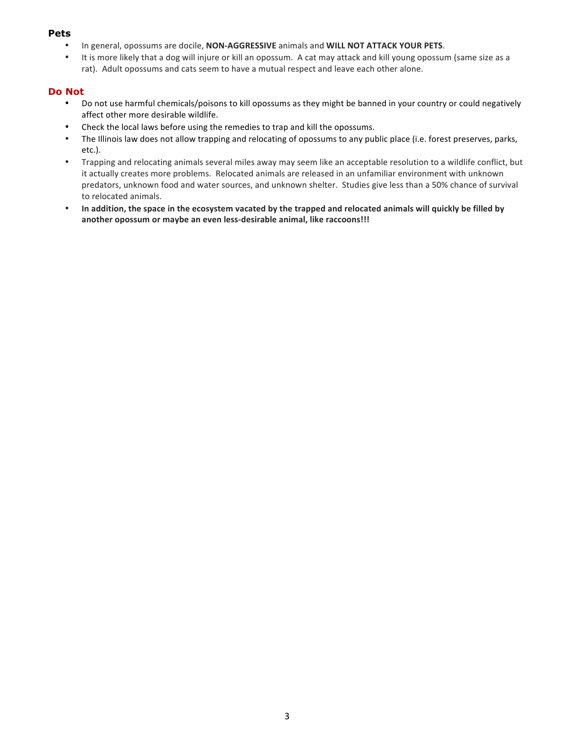## **Pets**

- **In general, opossums are docile, NON-AGGRESSIVE animals and WILL NOT ATTACK YOUR PETS.**
- It is more likely that a dog will injure or kill an opossum. A cat may attack and kill young opossum (same size as a rat). Adult opossums and cats seem to have a mutual respect and leave each other alone.

## **Do Not**

- Do not use harmful chemicals/poisons to kill opossums as they might be banned in your country or could negatively affect other more desirable wildlife.
- Check the local laws before using the remedies to trap and kill the opossums.
- The Illinois law does not allow trapping and relocating of opossums to any public place (i.e. forest preserves, parks, etc.).
- Trapping and relocating animals several miles away may seem like an acceptable resolution to a wildlife conflict, but it actually creates more problems. Relocated animals are released in an unfamiliar environment with unknown predators, unknown food and water sources, and unknown shelter. Studies give less than a 50% chance of survival to relocated animals.
- In addition, the space in the ecosystem vacated by the trapped and relocated animals will quickly be filled by another opossum or maybe an even less-desirable animal, like raccoons!!!